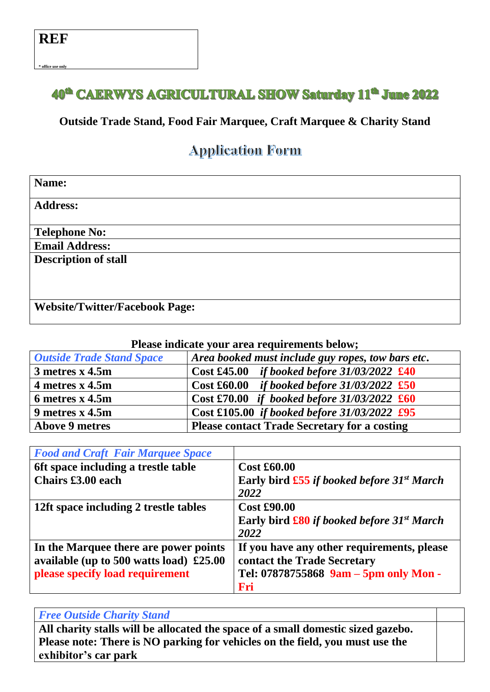$*$  office use onl

## 40<sup>th</sup> CAERWYS AGRICULTURAL SHOW Saturday 11<sup>th</sup> June 2022

## **Outside Trade Stand, Food Fair Marquee, Craft Marquee & Charity Stand**

## **Application Form**

| Name:                                 |
|---------------------------------------|
| <b>Address:</b>                       |
| <b>Telephone No:</b>                  |
| <b>Email Address:</b>                 |
| <b>Description of stall</b>           |
| <b>Website/Twitter/Facebook Page:</b> |

**Please indicate your area requirements below;**

| <b>Outside Trade Stand Space</b> | Area booked must include guy ropes, tow bars etc.    |
|----------------------------------|------------------------------------------------------|
| 3 metres x 4.5m                  | Cost £45.00 <i>if booked before</i> $31/03/2022$ £40 |
| 4 metres $x$ 4.5m                | Cost £60.00 if booked before $31/03/2022$ £50        |
| 6 metres x 4.5m                  | Cost £70.00 if booked before $31/03/2022$ £60        |
| 9 metres x 4.5m                  | Cost £105.00 if booked before $31/03/2022$ £95       |
| <b>Above 9 metres</b>            | <b>Please contact Trade Secretary for a costing</b>  |

| <b>Food and Craft Fair Marquee Space</b>  |                                                                 |
|-------------------------------------------|-----------------------------------------------------------------|
| oft space including a trestle table       | <b>Cost £60.00</b>                                              |
| Chairs £3.00 each                         | Early bird $\pounds$ 55 if booked before 31 <sup>st</sup> March |
|                                           | 2022                                                            |
| 12ft space including 2 trestle tables     | <b>Cost £90.00</b>                                              |
|                                           | Early bird $\pounds 80$ if booked before 31 <sup>st</sup> March |
|                                           | 2022                                                            |
| In the Marquee there are power points     | If you have any other requirements, please                      |
| available (up to 500 watts load) $£25.00$ | contact the Trade Secretary                                     |
| please specify load requirement           | Tel: 07878755868 9am - 5pm only Mon -                           |
|                                           | Fri                                                             |

## *Free Outside Charity Stand*

**All charity stalls will be allocated the space of a small domestic sized gazebo. Please note: There is NO parking for vehicles on the field, you must use the exhibitor's car park**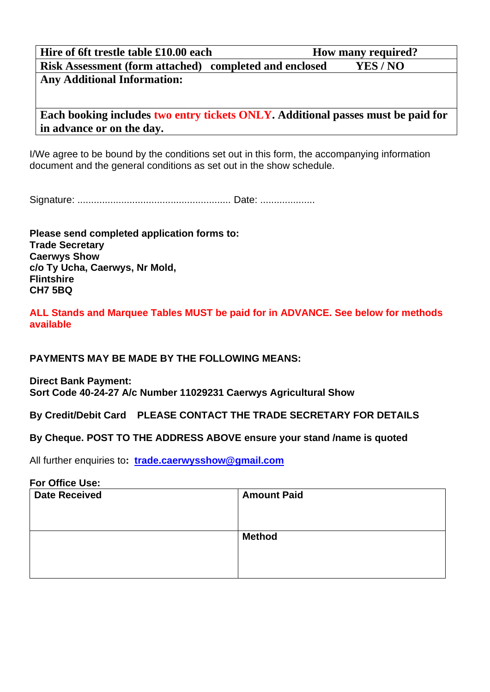| Hire of 6ft trestle table £10.00 each                         | <b>How many required?</b> |  |  |
|---------------------------------------------------------------|---------------------------|--|--|
| <b>Risk Assessment (form attached) completed and enclosed</b> | YES/NO                    |  |  |
| <b>Any Additional Information:</b>                            |                           |  |  |

**Each booking includes two entry tickets ONLY. Additional passes must be paid for in advance or on the day.**

I/We agree to be bound by the conditions set out in this form, the accompanying information document and the general conditions as set out in the show schedule.

Signature: ........................................................ Date: ....................

**Please send completed application forms to: Trade Secretary Caerwys Show c/o Ty Ucha, Caerwys, Nr Mold, Flintshire CH7 5BQ**

**ALL Stands and Marquee Tables MUST be paid for in ADVANCE. See below for methods available**

**PAYMENTS MAY BE MADE BY THE FOLLOWING MEANS:**

**Direct Bank Payment: Sort Code 40-24-27 A/c Number 11029231 Caerwys Agricultural Show**

**By Credit/Debit Card PLEASE CONTACT THE TRADE SECRETARY FOR DETAILS** 

## **By Cheque. POST TO THE ADDRESS ABOVE ensure your stand /name is quoted**

All further enquiries to**: [trade.caerwysshow@gmail.com](mailto:trade.caerwysshow@gmail.com)**

#### **For Office Use:**

| <b>Date Received</b> | <b>Amount Paid</b> |
|----------------------|--------------------|
|                      |                    |
|                      |                    |
|                      |                    |
|                      | <b>Method</b>      |
|                      |                    |
|                      |                    |
|                      |                    |
|                      |                    |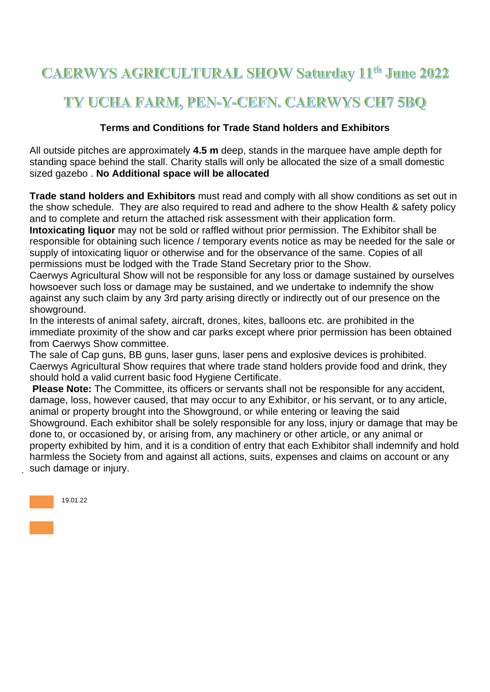# **CAERWYS AGRICULTURAL SHOW Saturday 11th June 2022**

# TY UCHA FARM, PEN-Y-CEFN, CAERWYS CH7 5BO

## **Terms and Conditions for Trade Stand holders and Exhibitors**

All outside pitches are approximately **4.5 m** deep, stands in the marquee have ample depth for standing space behind the stall. Charity stalls will only be allocated the size of a small domestic sized gazebo . **No Additional space will be allocated**

**Trade stand holders and Exhibitors** must read and comply with all show conditions as set out in the show schedule. They are also required to read and adhere to the show Health & safety policy and to complete and return the attached risk assessment with their application form.

**Intoxicating liquor** may not be sold or raffled without prior permission. The Exhibitor shall be responsible for obtaining such licence / temporary events notice as may be needed for the sale or supply of intoxicating liquor or otherwise and for the observance of the same. Copies of all permissions must be lodged with the Trade Stand Secretary prior to the Show.

Caerwys Agricultural Show will not be responsible for any loss or damage sustained by ourselves howsoever such loss or damage may be sustained, and we undertake to indemnify the show against any such claim by any 3rd party arising directly or indirectly out of our presence on the showground.

In the interests of animal safety, aircraft, drones, kites, balloons etc. are prohibited in the immediate proximity of the show and car parks except where prior permission has been obtained from Caerwys Show committee.

The sale of Cap guns, BB guns, laser guns, laser pens and explosive devices is prohibited. Caerwys Agricultural Show requires that where trade stand holders provide food and drink, they should hold a valid current basic food Hygiene Certificate.

**Please Note:** The Committee, its officers or servants shall not be responsible for any accident, damage, loss, however caused, that may occur to any Exhibitor, or his servant, or to any article, animal or property brought into the Showground, or while entering or leaving the said Showground. Each exhibitor shall be solely responsible for any loss, injury or damage that may be done to, or occasioned by, or arising from, any machinery or other article, or any animal or property exhibited by him, and it is a condition of entry that each Exhibitor shall indemnify and hold harmless the Society from and against all actions, suits, expenses and claims on account or any such damage or injury.

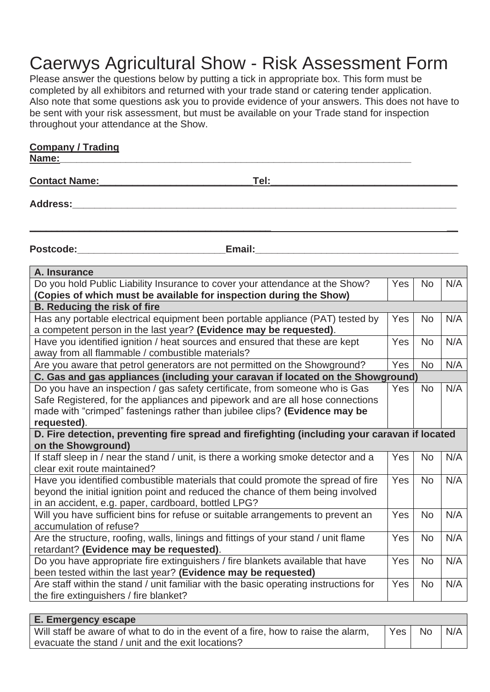# Caerwys Agricultural Show - Risk Assessment Form

Please answer the questions below by putting a tick in appropriate box. This form must be completed by all exhibitors and returned with your trade stand or catering tender application. Also note that some questions ask you to provide evidence of your answers. This does not have to be sent with your risk assessment, but must be available on your Trade stand for inspection throughout your attendance at the Show.

| <b>Company / Trading</b>                                                                                                                                                                                                                                                                                                                         |     |                |     |
|--------------------------------------------------------------------------------------------------------------------------------------------------------------------------------------------------------------------------------------------------------------------------------------------------------------------------------------------------|-----|----------------|-----|
| Name:                                                                                                                                                                                                                                                                                                                                            |     |                |     |
| <b>Contact Name:</b><br>Tel:                                                                                                                                                                                                                                                                                                                     |     |                |     |
| Address:_________                                                                                                                                                                                                                                                                                                                                |     |                |     |
|                                                                                                                                                                                                                                                                                                                                                  |     |                |     |
| Email: Email: All and the state of the state of the state of the state of the state of the state of the state of the state of the state of the state of the state of the state of the state of the state of the state of the s<br>Postcode: with a series of the contract of the contract of the contract of the contract of the contract of the |     |                |     |
| A. Insurance                                                                                                                                                                                                                                                                                                                                     |     |                |     |
| Do you hold Public Liability Insurance to cover your attendance at the Show?                                                                                                                                                                                                                                                                     | Yes | N <sub>o</sub> | N/A |
| (Copies of which must be available for inspection during the Show)                                                                                                                                                                                                                                                                               |     |                |     |
| <b>B. Reducing the risk of fire</b>                                                                                                                                                                                                                                                                                                              |     |                |     |
| Has any portable electrical equipment been portable appliance (PAT) tested by                                                                                                                                                                                                                                                                    | Yes | <b>No</b>      | N/A |
| a competent person in the last year? (Evidence may be requested).                                                                                                                                                                                                                                                                                |     |                |     |
| Have you identified ignition / heat sources and ensured that these are kept                                                                                                                                                                                                                                                                      | Yes | <b>No</b>      | N/A |
| away from all flammable / combustible materials?                                                                                                                                                                                                                                                                                                 |     |                |     |
| Are you aware that petrol generators are not permitted on the Showground?                                                                                                                                                                                                                                                                        | Yes | <b>No</b>      | N/A |
| C. Gas and gas appliances (including your caravan if located on the Showground)                                                                                                                                                                                                                                                                  |     |                |     |
| Do you have an inspection / gas safety certificate, from someone who is Gas                                                                                                                                                                                                                                                                      | Yes | <b>No</b>      | N/A |

| Do you have an inspection / gas safety certificate, from someone who is Gas<br>Safe Registered, for the appliances and pipework and are all hose connections<br>made with "crimped" fastenings rather than jubilee clips? (Evidence may be<br>requested). | Yes:       | No.       | N/A |
|-----------------------------------------------------------------------------------------------------------------------------------------------------------------------------------------------------------------------------------------------------------|------------|-----------|-----|
| D. Fire detection, preventing fire spread and firefighting (including your caravan if located                                                                                                                                                             |            |           |     |
| on the Showground)                                                                                                                                                                                                                                        |            |           |     |
| If staff sleep in / near the stand / unit, is there a working smoke detector and a                                                                                                                                                                        | <b>Yes</b> | <b>No</b> | N/A |
| clear exit route maintained?                                                                                                                                                                                                                              |            |           |     |
| Have you identified combustible materials that could promote the spread of fire                                                                                                                                                                           | <b>Yes</b> | <b>No</b> | N/A |
| beyond the initial ignition point and reduced the chance of them being involved                                                                                                                                                                           |            |           |     |
| in an accident, e.g. paper, cardboard, bottled LPG?                                                                                                                                                                                                       |            |           |     |
|                                                                                                                                                                                                                                                           |            |           |     |
| Will you have sufficient bins for refuse or suitable arrangements to prevent an                                                                                                                                                                           | <b>Yes</b> | <b>No</b> | N/A |
| accumulation of refuse?                                                                                                                                                                                                                                   |            |           |     |
| Are the structure, roofing, walls, linings and fittings of your stand / unit flame                                                                                                                                                                        | <b>Yes</b> | <b>No</b> | N/A |
| retardant? (Evidence may be requested).                                                                                                                                                                                                                   |            |           |     |
| Do you have appropriate fire extinguishers / fire blankets available that have                                                                                                                                                                            | Yes        | <b>No</b> | N/A |

Are staff within the stand / unit familiar with the basic operating instructions for the fire extinguishers / fire blanket?

been tested within the last year? **(Evidence may be requested)**

| E. Emergency escape                                                               |                  |    |     |
|-----------------------------------------------------------------------------------|------------------|----|-----|
| Will staff be aware of what to do in the event of a fire, how to raise the alarm, | Yes <sub>l</sub> | No | N/A |
| evacuate the stand / unit and the exit locations?                                 |                  |    |     |

Yes No N/A